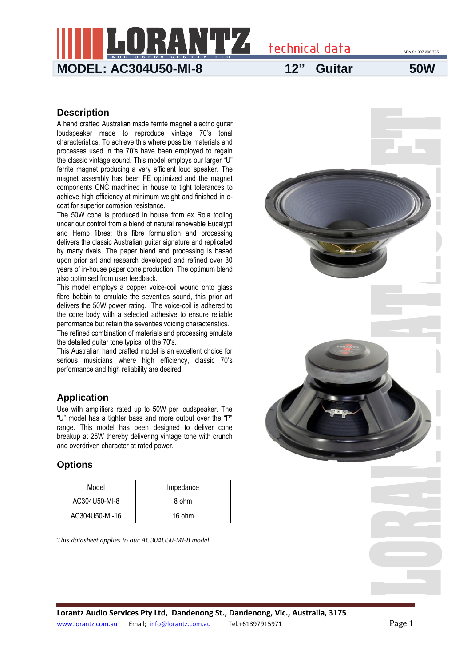ABN 91 007 396 705

**MODEL: AC304U50-MI-8 12" Guitar 50W**

technical data

#### **Description**

A hand crafted Australian made ferrite magnet electric guitar loudspeaker made to reproduce vintage 70's tonal characteristics. To achieve this where possible materials and processes used in the 70's have been employed to regain the classic vintage sound. This model employs our larger "U" ferrite magnet producing a very efficient loud speaker. The magnet assembly has been FE optimized and the magnet components CNC machined in house to tight tolerances to achieve high efficiency at minimum weight and finished in ecoat for superior corrosion resistance.

The 50W cone is produced in house from ex Rola tooling under our control from a blend of natural renewable Eucalypt and Hemp fibres; this fibre formulation and processing delivers the classic Australian guitar signature and replicated by many rivals. The paper blend and processing is based upon prior art and research developed and refined over 30 years of in-house paper cone production. The optimum blend also optimised from user feedback.

This model employs a copper voice-coil wound onto glass fibre bobbin to emulate the seventies sound, this prior art delivers the 50W power rating. The voice-coil is adhered to the cone body with a selected adhesive to ensure reliable performance but retain the seventies voicing characteristics.

The refined combination of materials and processing emulate the detailed guitar tone typical of the 70's.

This Australian hand crafted model is an excellent choice for serious musicians where high efficiency, classic 70's performance and high reliability are desired.

### **Application**

Use with amplifiers rated up to 50W per loudspeaker. The "U" model has a tighter bass and more output over the "P" range. This model has been designed to deliver cone breakup at 25W thereby delivering vintage tone with crunch and overdriven character at rated power.

### **Options**

| Model          | Impedance |  |
|----------------|-----------|--|
| AC304U50-MI-8  | 8 ohm     |  |
| AC304U50-MI-16 | 16 ohm    |  |

*This datasheet applies to our AC304U50-MI-8 model.*